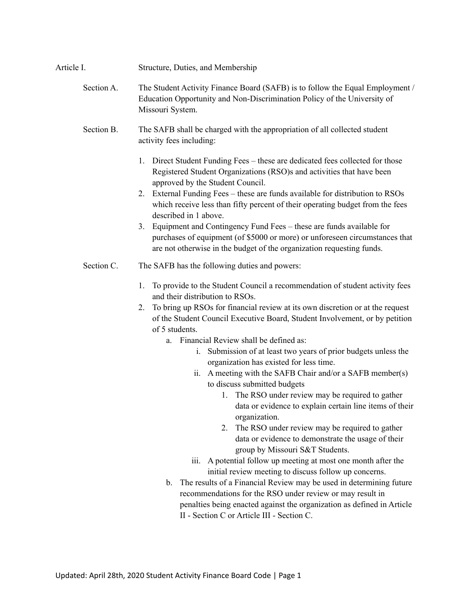## Article I. Structure, Duties, and Membership

# Section A. The Student Activity Finance Board (SAFB) is to follow the Equal Employment / Education Opportunity and Non-Discrimination Policy of the University of Missouri System.

- Section B. The SAFB shall be charged with the appropriation of all collected student activity fees including:
	- 1. Direct Student Funding Fees these are dedicated fees collected for those Registered Student Organizations (RSO)s and activities that have been approved by the Student Council.
	- 2. External Funding Fees these are funds available for distribution to RSOs which receive less than fifty percent of their operating budget from the fees described in 1 above.
	- 3. Equipment and Contingency Fund Fees these are funds available for purchases of equipment (of \$5000 or more) or unforeseen circumstances that are not otherwise in the budget of the organization requesting funds.
- Section C. The SAFB has the following duties and powers:
	- 1. To provide to the Student Council a recommendation of student activity fees and their distribution to RSOs.
	- 2. To bring up RSOs for financial review at its own discretion or at the request of the Student Council Executive Board, Student Involvement, or by petition of 5 students.
		- a. Financial Review shall be defined as:
			- i. Submission of at least two years of prior budgets unless the organization has existed for less time.
			- ii. A meeting with the SAFB Chair and/or a SAFB member(s) to discuss submitted budgets
				- 1. The RSO under review may be required to gather data or evidence to explain certain line items of their organization.
				- 2. The RSO under review may be required to gather data or evidence to demonstrate the usage of their group by Missouri S&T Students.
			- iii. A potential follow up meeting at most one month after the initial review meeting to discuss follow up concerns.
		- b. The results of a Financial Review may be used in determining future recommendations for the RSO under review or may result in penalties being enacted against the organization as defined in Article II - Section C or Article III - Section C.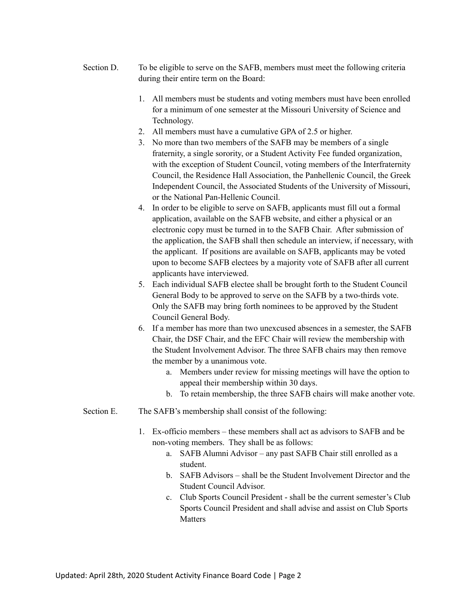- Section D. To be eligible to serve on the SAFB, members must meet the following criteria during their entire term on the Board:
	- 1. All members must be students and voting members must have been enrolled for a minimum of one semester at the Missouri University of Science and Technology.
	- 2. All members must have a cumulative GPA of 2.5 or higher.
	- 3. No more than two members of the SAFB may be members of a single fraternity, a single sorority, or a Student Activity Fee funded organization, with the exception of Student Council, voting members of the Interfraternity Council, the Residence Hall Association, the Panhellenic Council, the Greek Independent Council, the Associated Students of the University of Missouri, or the National Pan-Hellenic Council.
	- 4. In order to be eligible to serve on SAFB, applicants must fill out a formal application, available on the SAFB website, and either a physical or an electronic copy must be turned in to the SAFB Chair. After submission of the application, the SAFB shall then schedule an interview, if necessary, with the applicant. If positions are available on SAFB, applicants may be voted upon to become SAFB electees by a majority vote of SAFB after all current applicants have interviewed.
	- 5. Each individual SAFB electee shall be brought forth to the Student Council General Body to be approved to serve on the SAFB by a two-thirds vote. Only the SAFB may bring forth nominees to be approved by the Student Council General Body.
	- 6. If a member has more than two unexcused absences in a semester, the SAFB Chair, the DSF Chair, and the EFC Chair will review the membership with the Student Involvement Advisor. The three SAFB chairs may then remove the member by a unanimous vote.
		- a. Members under review for missing meetings will have the option to appeal their membership within 30 days.
		- b. To retain membership, the three SAFB chairs will make another vote.
- Section E. The SAFB's membership shall consist of the following:
	- 1. Ex-officio members these members shall act as advisors to SAFB and be non-voting members. They shall be as follows:
		- a. SAFB Alumni Advisor any past SAFB Chair still enrolled as a student.
		- b. SAFB Advisors shall be the Student Involvement Director and the Student Council Advisor.
		- c. Club Sports Council President shall be the current semester's Club Sports Council President and shall advise and assist on Club Sports Matters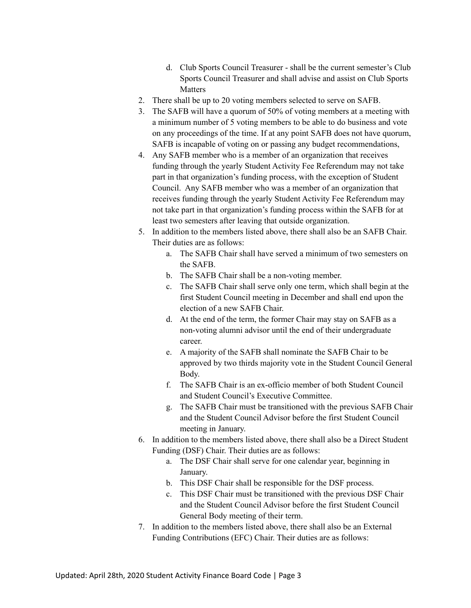- d. Club Sports Council Treasurer shall be the current semester's Club Sports Council Treasurer and shall advise and assist on Club Sports **Matters**
- 2. There shall be up to 20 voting members selected to serve on SAFB.
- 3. The SAFB will have a quorum of 50% of voting members at a meeting with a minimum number of 5 voting members to be able to do business and vote on any proceedings of the time. If at any point SAFB does not have quorum, SAFB is incapable of voting on or passing any budget recommendations,
- 4. Any SAFB member who is a member of an organization that receives funding through the yearly Student Activity Fee Referendum may not take part in that organization's funding process, with the exception of Student Council. Any SAFB member who was a member of an organization that receives funding through the yearly Student Activity Fee Referendum may not take part in that organization's funding process within the SAFB for at least two semesters after leaving that outside organization.
- 5. In addition to the members listed above, there shall also be an SAFB Chair. Their duties are as follows:
	- a. The SAFB Chair shall have served a minimum of two semesters on the SAFB.
	- b. The SAFB Chair shall be a non-voting member.
	- c. The SAFB Chair shall serve only one term, which shall begin at the first Student Council meeting in December and shall end upon the election of a new SAFB Chair.
	- d. At the end of the term, the former Chair may stay on SAFB as a non-voting alumni advisor until the end of their undergraduate career.
	- e. A majority of the SAFB shall nominate the SAFB Chair to be approved by two thirds majority vote in the Student Council General Body.
	- f. The SAFB Chair is an ex-officio member of both Student Council and Student Council's Executive Committee.
	- g. The SAFB Chair must be transitioned with the previous SAFB Chair and the Student Council Advisor before the first Student Council meeting in January.
- 6. In addition to the members listed above, there shall also be a Direct Student Funding (DSF) Chair. Their duties are as follows:
	- a. The DSF Chair shall serve for one calendar year, beginning in January.
	- b. This DSF Chair shall be responsible for the DSF process.
	- c. This DSF Chair must be transitioned with the previous DSF Chair and the Student Council Advisor before the first Student Council General Body meeting of their term.
- 7. In addition to the members listed above, there shall also be an External Funding Contributions (EFC) Chair. Their duties are as follows: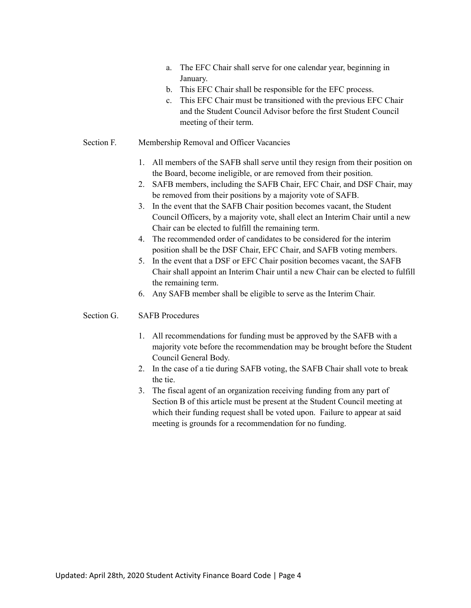- a. The EFC Chair shall serve for one calendar year, beginning in January.
- b. This EFC Chair shall be responsible for the EFC process.
- c. This EFC Chair must be transitioned with the previous EFC Chair and the Student Council Advisor before the first Student Council meeting of their term.
- Section F. Membership Removal and Officer Vacancies
	- 1. All members of the SAFB shall serve until they resign from their position on the Board, become ineligible, or are removed from their position.
	- 2. SAFB members, including the SAFB Chair, EFC Chair, and DSF Chair, may be removed from their positions by a majority vote of SAFB.
	- 3. In the event that the SAFB Chair position becomes vacant, the Student Council Officers, by a majority vote, shall elect an Interim Chair until a new Chair can be elected to fulfill the remaining term.
	- 4. The recommended order of candidates to be considered for the interim position shall be the DSF Chair, EFC Chair, and SAFB voting members.
	- 5. In the event that a DSF or EFC Chair position becomes vacant, the SAFB Chair shall appoint an Interim Chair until a new Chair can be elected to fulfill the remaining term.
	- 6. Any SAFB member shall be eligible to serve as the Interim Chair.

## Section G. SAFB Procedures

- 1. All recommendations for funding must be approved by the SAFB with a majority vote before the recommendation may be brought before the Student Council General Body.
- 2. In the case of a tie during SAFB voting, the SAFB Chair shall vote to break the tie.
- 3. The fiscal agent of an organization receiving funding from any part of Section B of this article must be present at the Student Council meeting at which their funding request shall be voted upon. Failure to appear at said meeting is grounds for a recommendation for no funding.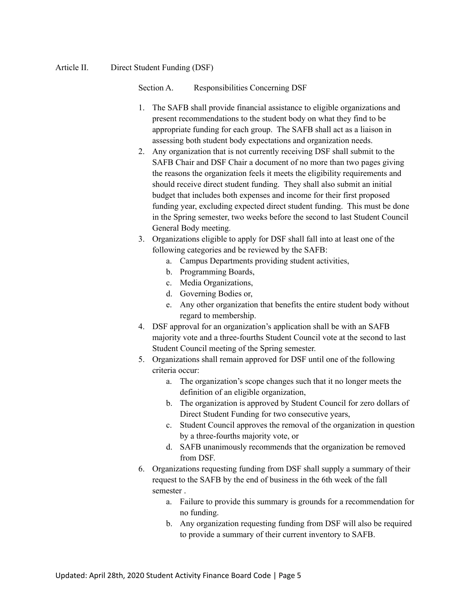## Article II. Direct Student Funding (DSF)

Section A. Responsibilities Concerning DSF

- 1. The SAFB shall provide financial assistance to eligible organizations and present recommendations to the student body on what they find to be appropriate funding for each group. The SAFB shall act as a liaison in assessing both student body expectations and organization needs.
- 2. Any organization that is not currently receiving DSF shall submit to the SAFB Chair and DSF Chair a document of no more than two pages giving the reasons the organization feels it meets the eligibility requirements and should receive direct student funding. They shall also submit an initial budget that includes both expenses and income for their first proposed funding year, excluding expected direct student funding. This must be done in the Spring semester, two weeks before the second to last Student Council General Body meeting.
- 3. Organizations eligible to apply for DSF shall fall into at least one of the following categories and be reviewed by the SAFB:
	- a. Campus Departments providing student activities,
	- b. Programming Boards,
	- c. Media Organizations,
	- d. Governing Bodies or,
	- e. Any other organization that benefits the entire student body without regard to membership.
- 4. DSF approval for an organization's application shall be with an SAFB majority vote and a three-fourths Student Council vote at the second to last Student Council meeting of the Spring semester.
- 5. Organizations shall remain approved for DSF until one of the following criteria occur:
	- a. The organization's scope changes such that it no longer meets the definition of an eligible organization,
	- b. The organization is approved by Student Council for zero dollars of Direct Student Funding for two consecutive years,
	- c. Student Council approves the removal of the organization in question by a three-fourths majority vote, or
	- d. SAFB unanimously recommends that the organization be removed from DSF.
- 6. Organizations requesting funding from DSF shall supply a summary of their request to the SAFB by the end of business in the 6th week of the fall semester .
	- a. Failure to provide this summary is grounds for a recommendation for no funding.
	- b. Any organization requesting funding from DSF will also be required to provide a summary of their current inventory to SAFB.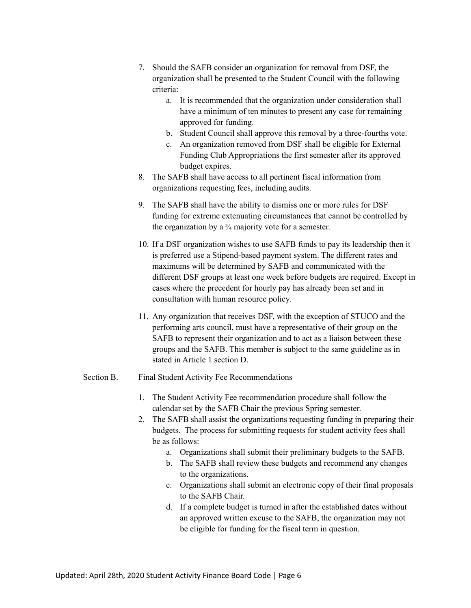- 7. Should the SAFB consider an organization for removal from DSF, the organization shall be presented to the Student Council with the following criteria:
	- a. It is recommended that the organization under consideration shall have a minimum of ten minutes to present any case for remaining approved for funding.
	- b. Student Council shall approve this removal by a three-fourths vote.
	- c. An organization removed from DSF shall be eligible for External Funding Club Appropriations the first semester after its approved budget expires.
- 8. The SAFB shall have access to all pertinent fiscal information from organizations requesting fees, including audits.
- 9. The SAFB shall have the ability to dismiss one or more rules for DSF funding for extreme extenuating circumstances that cannot be controlled by the organization by a  $\frac{3}{4}$  majority vote for a semester.
- 10. If a DSF organization wishes to use SAFB funds to pay its leadership then it is preferred use a Stipend-based payment system. The different rates and maximums will be determined by SAFB and communicated with the different DSF groups at least one week before budgets are required. Except in cases where the precedent for hourly pay has already been set and in consultation with human resource policy.
- 11. Any organization that receives DSF, with the exception of STUCO and the performing arts council, must have a representative of their group on the SAFB to represent their organization and to act as a liaison between these groups and the SAFB. This member is subject to the same guideline as in stated in Article 1 section D.

## Section B. Final Student Activity Fee Recommendations

- 1. The Student Activity Fee recommendation procedure shall follow the calendar set by the SAFB Chair the previous Spring semester.
- 2. The SAFB shall assist the organizations requesting funding in preparing their budgets. The process for submitting requests for student activity fees shall be as follows:
	- a. Organizations shall submit their preliminary budgets to the SAFB.
	- b. The SAFB shall review these budgets and recommend any changes to the organizations.
	- c. Organizations shall submit an electronic copy of their final proposals to the SAFB Chair.
	- d. If a complete budget is turned in after the established dates without an approved written excuse to the SAFB, the organization may not be eligible for funding for the fiscal term in question.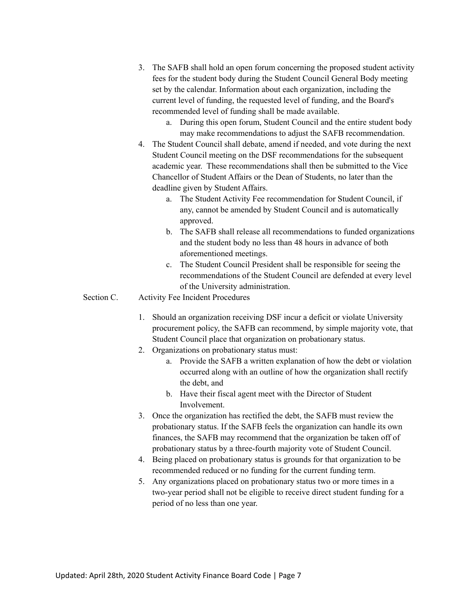- 3. The SAFB shall hold an open forum concerning the proposed student activity fees for the student body during the Student Council General Body meeting set by the calendar. Information about each organization, including the current level of funding, the requested level of funding, and the Board's recommended level of funding shall be made available.
	- a. During this open forum, Student Council and the entire student body may make recommendations to adjust the SAFB recommendation.
- 4. The Student Council shall debate, amend if needed, and vote during the next Student Council meeting on the DSF recommendations for the subsequent academic year. These recommendations shall then be submitted to the Vice Chancellor of Student Affairs or the Dean of Students, no later than the deadline given by Student Affairs.
	- a. The Student Activity Fee recommendation for Student Council, if any, cannot be amended by Student Council and is automatically approved.
	- b. The SAFB shall release all recommendations to funded organizations and the student body no less than 48 hours in advance of both aforementioned meetings.
	- c. The Student Council President shall be responsible for seeing the recommendations of the Student Council are defended at every level of the University administration.
- Section C. Activity Fee Incident Procedures
	- 1. Should an organization receiving DSF incur a deficit or violate University procurement policy, the SAFB can recommend, by simple majority vote, that Student Council place that organization on probationary status.
	- 2. Organizations on probationary status must:
		- a. Provide the SAFB a written explanation of how the debt or violation occurred along with an outline of how the organization shall rectify the debt, and
		- b. Have their fiscal agent meet with the Director of Student Involvement.
	- 3. Once the organization has rectified the debt, the SAFB must review the probationary status. If the SAFB feels the organization can handle its own finances, the SAFB may recommend that the organization be taken off of probationary status by a three-fourth majority vote of Student Council.
	- 4. Being placed on probationary status is grounds for that organization to be recommended reduced or no funding for the current funding term.
	- 5. Any organizations placed on probationary status two or more times in a two-year period shall not be eligible to receive direct student funding for a period of no less than one year.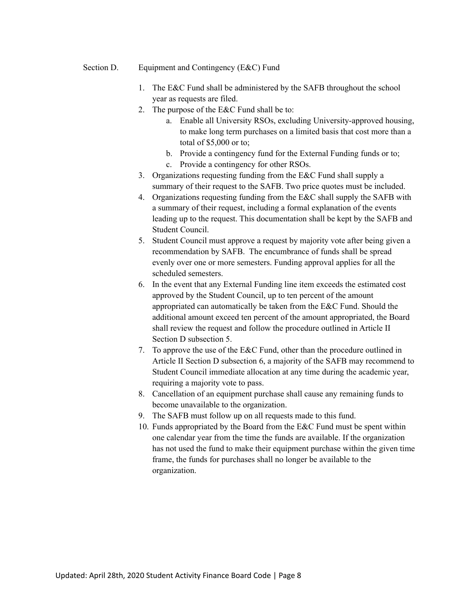- Section D. Equipment and Contingency (E&C) Fund
	- 1. The E&C Fund shall be administered by the SAFB throughout the school year as requests are filed.
	- 2. The purpose of the E&C Fund shall be to:
		- a. Enable all University RSOs, excluding University-approved housing, to make long term purchases on a limited basis that cost more than a total of \$5,000 or to;
		- b. Provide a contingency fund for the External Funding funds or to;
		- c. Provide a contingency for other RSOs.
	- 3. Organizations requesting funding from the E&C Fund shall supply a summary of their request to the SAFB. Two price quotes must be included.
	- 4. Organizations requesting funding from the E&C shall supply the SAFB with a summary of their request, including a formal explanation of the events leading up to the request. This documentation shall be kept by the SAFB and Student Council.
	- 5. Student Council must approve a request by majority vote after being given a recommendation by SAFB. The encumbrance of funds shall be spread evenly over one or more semesters. Funding approval applies for all the scheduled semesters.
	- 6. In the event that any External Funding line item exceeds the estimated cost approved by the Student Council, up to ten percent of the amount appropriated can automatically be taken from the E&C Fund. Should the additional amount exceed ten percent of the amount appropriated, the Board shall review the request and follow the procedure outlined in Article II Section D subsection 5.
	- 7. To approve the use of the E&C Fund, other than the procedure outlined in Article II Section D subsection 6, a majority of the SAFB may recommend to Student Council immediate allocation at any time during the academic year, requiring a majority vote to pass.
	- 8. Cancellation of an equipment purchase shall cause any remaining funds to become unavailable to the organization.
	- 9. The SAFB must follow up on all requests made to this fund.
	- 10. Funds appropriated by the Board from the E&C Fund must be spent within one calendar year from the time the funds are available. If the organization has not used the fund to make their equipment purchase within the given time frame, the funds for purchases shall no longer be available to the organization.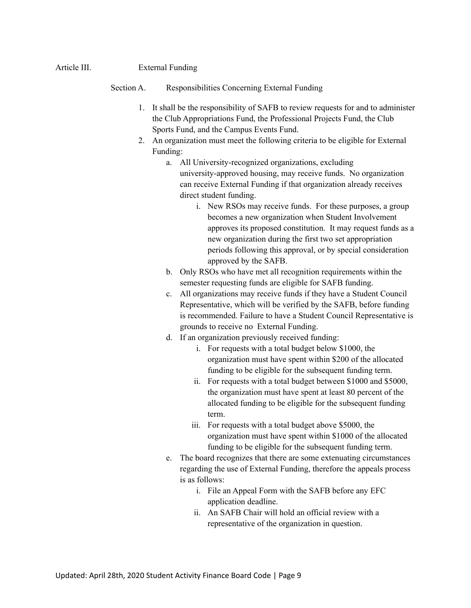## Article III. External Funding

#### Section A. Responsibilities Concerning External Funding

- 1. It shall be the responsibility of SAFB to review requests for and to administer the Club Appropriations Fund, the Professional Projects Fund, the Club Sports Fund, and the Campus Events Fund.
- 2. An organization must meet the following criteria to be eligible for External Funding:
	- a. All University-recognized organizations, excluding university-approved housing, may receive funds. No organization can receive External Funding if that organization already receives direct student funding.
		- i. New RSOs may receive funds. For these purposes, a group becomes a new organization when Student Involvement approves its proposed constitution. It may request funds as a new organization during the first two set appropriation periods following this approval, or by special consideration approved by the SAFB.
	- b. Only RSOs who have met all recognition requirements within the semester requesting funds are eligible for SAFB funding.
	- c. All organizations may receive funds if they have a Student Council Representative, which will be verified by the SAFB, before funding is recommended. Failure to have a Student Council Representative is grounds to receive no External Funding.
	- d. If an organization previously received funding:
		- i. For requests with a total budget below \$1000, the organization must have spent within \$200 of the allocated funding to be eligible for the subsequent funding term.
		- ii. For requests with a total budget between \$1000 and \$5000, the organization must have spent at least 80 percent of the allocated funding to be eligible for the subsequent funding term.
		- iii. For requests with a total budget above \$5000, the organization must have spent within \$1000 of the allocated funding to be eligible for the subsequent funding term.
	- e. The board recognizes that there are some extenuating circumstances regarding the use of External Funding, therefore the appeals process is as follows:
		- i. File an Appeal Form with the SAFB before any EFC application deadline.
		- ii. An SAFB Chair will hold an official review with a representative of the organization in question.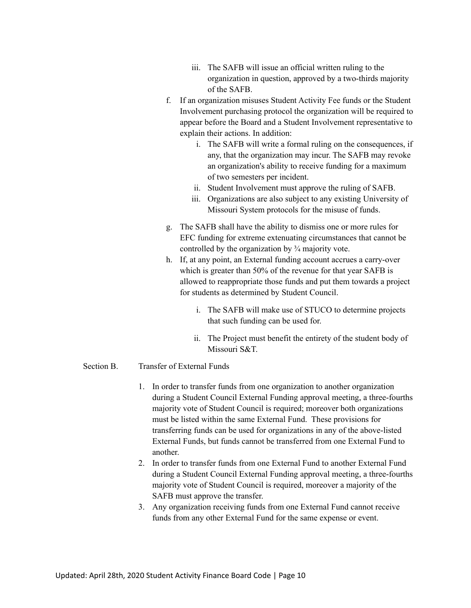- iii. The SAFB will issue an official written ruling to the organization in question, approved by a two-thirds majority of the SAFB.
- f. If an organization misuses Student Activity Fee funds or the Student Involvement purchasing protocol the organization will be required to appear before the Board and a Student Involvement representative to explain their actions. In addition:
	- i. The SAFB will write a formal ruling on the consequences, if any, that the organization may incur. The SAFB may revoke an organization's ability to receive funding for a maximum of two semesters per incident.
	- ii. Student Involvement must approve the ruling of SAFB.
	- iii. Organizations are also subject to any existing University of Missouri System protocols for the misuse of funds.
- g. The SAFB shall have the ability to dismiss one or more rules for EFC funding for extreme extenuating circumstances that cannot be controlled by the organization by ¾ majority vote.
- h. If, at any point, an External funding account accrues a carry-over which is greater than 50% of the revenue for that year SAFB is allowed to reappropriate those funds and put them towards a project for students as determined by Student Council.
	- i. The SAFB will make use of STUCO to determine projects that such funding can be used for.
	- ii. The Project must benefit the entirety of the student body of Missouri S&T.

#### Section B. Transfer of External Funds

- 1. In order to transfer funds from one organization to another organization during a Student Council External Funding approval meeting, a three-fourths majority vote of Student Council is required; moreover both organizations must be listed within the same External Fund. These provisions for transferring funds can be used for organizations in any of the above-listed External Funds, but funds cannot be transferred from one External Fund to another.
- 2. In order to transfer funds from one External Fund to another External Fund during a Student Council External Funding approval meeting, a three-fourths majority vote of Student Council is required, moreover a majority of the SAFB must approve the transfer.
- 3. Any organization receiving funds from one External Fund cannot receive funds from any other External Fund for the same expense or event.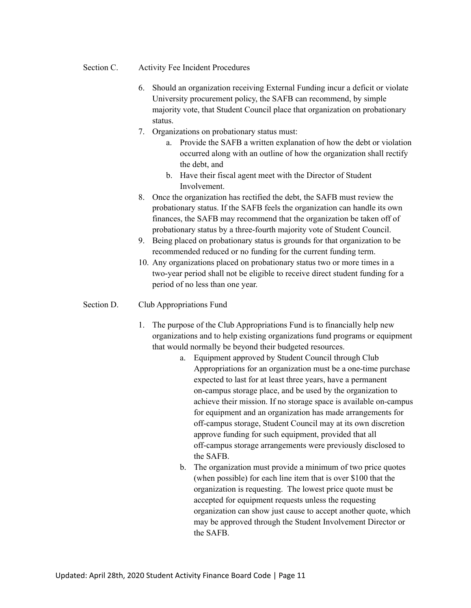- Section C. Activity Fee Incident Procedures
	- 6. Should an organization receiving External Funding incur a deficit or violate University procurement policy, the SAFB can recommend, by simple majority vote, that Student Council place that organization on probationary status.
	- 7. Organizations on probationary status must:
		- a. Provide the SAFB a written explanation of how the debt or violation occurred along with an outline of how the organization shall rectify the debt, and
		- b. Have their fiscal agent meet with the Director of Student Involvement.
	- 8. Once the organization has rectified the debt, the SAFB must review the probationary status. If the SAFB feels the organization can handle its own finances, the SAFB may recommend that the organization be taken off of probationary status by a three-fourth majority vote of Student Council.
	- 9. Being placed on probationary status is grounds for that organization to be recommended reduced or no funding for the current funding term.
	- 10. Any organizations placed on probationary status two or more times in a two-year period shall not be eligible to receive direct student funding for a period of no less than one year.

## Section D. Club Appropriations Fund

- 1. The purpose of the Club Appropriations Fund is to financially help new organizations and to help existing organizations fund programs or equipment that would normally be beyond their budgeted resources.
	- a. Equipment approved by Student Council through Club Appropriations for an organization must be a one-time purchase expected to last for at least three years, have a permanent on-campus storage place, and be used by the organization to achieve their mission. If no storage space is available on-campus for equipment and an organization has made arrangements for off-campus storage, Student Council may at its own discretion approve funding for such equipment, provided that all off-campus storage arrangements were previously disclosed to the SAFB.
	- b. The organization must provide a minimum of two price quotes (when possible) for each line item that is over \$100 that the organization is requesting. The lowest price quote must be accepted for equipment requests unless the requesting organization can show just cause to accept another quote, which may be approved through the Student Involvement Director or the SAFB.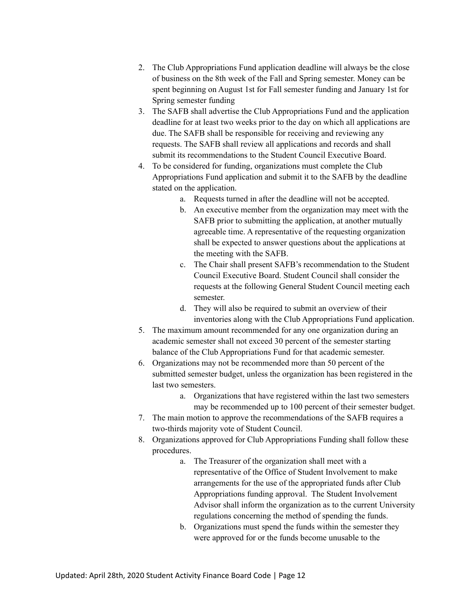- 2. The Club Appropriations Fund application deadline will always be the close of business on the 8th week of the Fall and Spring semester. Money can be spent beginning on August 1st for Fall semester funding and January 1st for Spring semester funding
- 3. The SAFB shall advertise the Club Appropriations Fund and the application deadline for at least two weeks prior to the day on which all applications are due. The SAFB shall be responsible for receiving and reviewing any requests. The SAFB shall review all applications and records and shall submit its recommendations to the Student Council Executive Board.
- 4. To be considered for funding, organizations must complete the Club Appropriations Fund application and submit it to the SAFB by the deadline stated on the application.
	- a. Requests turned in after the deadline will not be accepted.
	- b. An executive member from the organization may meet with the SAFB prior to submitting the application, at another mutually agreeable time. A representative of the requesting organization shall be expected to answer questions about the applications at the meeting with the SAFB.
	- c. The Chair shall present SAFB's recommendation to the Student Council Executive Board. Student Council shall consider the requests at the following General Student Council meeting each semester.
	- d. They will also be required to submit an overview of their inventories along with the Club Appropriations Fund application.
- 5. The maximum amount recommended for any one organization during an academic semester shall not exceed 30 percent of the semester starting balance of the Club Appropriations Fund for that academic semester.
- 6. Organizations may not be recommended more than 50 percent of the submitted semester budget, unless the organization has been registered in the last two semesters.
	- a. Organizations that have registered within the last two semesters may be recommended up to 100 percent of their semester budget.
- 7. The main motion to approve the recommendations of the SAFB requires a two-thirds majority vote of Student Council.
- 8. Organizations approved for Club Appropriations Funding shall follow these procedures.
	- a. The Treasurer of the organization shall meet with a representative of the Office of Student Involvement to make arrangements for the use of the appropriated funds after Club Appropriations funding approval. The Student Involvement Advisor shall inform the organization as to the current University regulations concerning the method of spending the funds.
	- b. Organizations must spend the funds within the semester they were approved for or the funds become unusable to the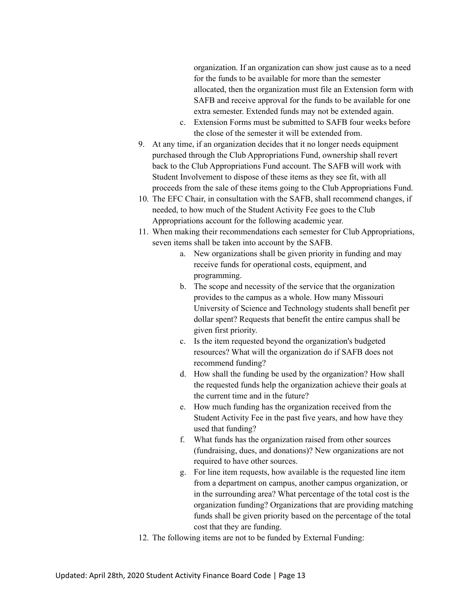organization. If an organization can show just cause as to a need for the funds to be available for more than the semester allocated, then the organization must file an Extension form with SAFB and receive approval for the funds to be available for one extra semester. Extended funds may not be extended again.

- c. Extension Forms must be submitted to SAFB four weeks before the close of the semester it will be extended from.
- 9. At any time, if an organization decides that it no longer needs equipment purchased through the Club Appropriations Fund, ownership shall revert back to the Club Appropriations Fund account. The SAFB will work with Student Involvement to dispose of these items as they see fit, with all proceeds from the sale of these items going to the Club Appropriations Fund.
- 10. The EFC Chair, in consultation with the SAFB, shall recommend changes, if needed, to how much of the Student Activity Fee goes to the Club Appropriations account for the following academic year.
- 11. When making their recommendations each semester for Club Appropriations, seven items shall be taken into account by the SAFB.
	- a. New organizations shall be given priority in funding and may receive funds for operational costs, equipment, and programming.
	- b. The scope and necessity of the service that the organization provides to the campus as a whole. How many Missouri University of Science and Technology students shall benefit per dollar spent? Requests that benefit the entire campus shall be given first priority.
	- c. Is the item requested beyond the organization's budgeted resources? What will the organization do if SAFB does not recommend funding?
	- d. How shall the funding be used by the organization? How shall the requested funds help the organization achieve their goals at the current time and in the future?
	- e. How much funding has the organization received from the Student Activity Fee in the past five years, and how have they used that funding?
	- f. What funds has the organization raised from other sources (fundraising, dues, and donations)? New organizations are not required to have other sources.
	- g. For line item requests, how available is the requested line item from a department on campus, another campus organization, or in the surrounding area? What percentage of the total cost is the organization funding? Organizations that are providing matching funds shall be given priority based on the percentage of the total cost that they are funding.
- 12. The following items are not to be funded by External Funding: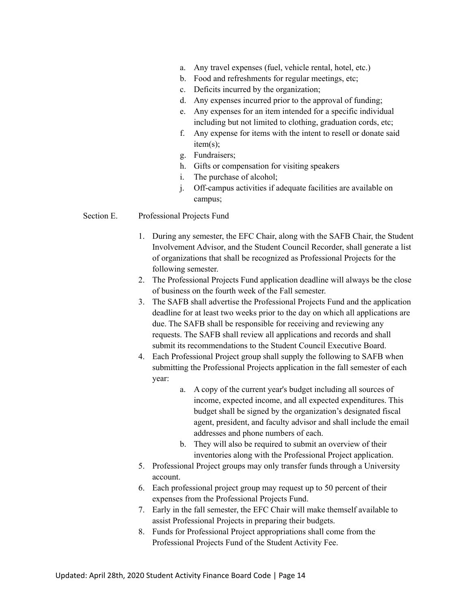- a. Any travel expenses (fuel, vehicle rental, hotel, etc.)
- b. Food and refreshments for regular meetings, etc;
- c. Deficits incurred by the organization;
- d. Any expenses incurred prior to the approval of funding;
- e. Any expenses for an item intended for a specific individual including but not limited to clothing, graduation cords, etc;
- f. Any expense for items with the intent to resell or donate said item(s);
- g. Fundraisers;
- h. Gifts or compensation for visiting speakers
- i. The purchase of alcohol;
- j. Off-campus activities if adequate facilities are available on campus;

#### Section E. Professional Projects Fund

- 1. During any semester, the EFC Chair, along with the SAFB Chair, the Student Involvement Advisor, and the Student Council Recorder, shall generate a list of organizations that shall be recognized as Professional Projects for the following semester.
- 2. The Professional Projects Fund application deadline will always be the close of business on the fourth week of the Fall semester.
- 3. The SAFB shall advertise the Professional Projects Fund and the application deadline for at least two weeks prior to the day on which all applications are due. The SAFB shall be responsible for receiving and reviewing any requests. The SAFB shall review all applications and records and shall submit its recommendations to the Student Council Executive Board.
- 4. Each Professional Project group shall supply the following to SAFB when submitting the Professional Projects application in the fall semester of each year:
	- a. A copy of the current year's budget including all sources of income, expected income, and all expected expenditures. This budget shall be signed by the organization's designated fiscal agent, president, and faculty advisor and shall include the email addresses and phone numbers of each.
	- b. They will also be required to submit an overview of their inventories along with the Professional Project application.
- 5. Professional Project groups may only transfer funds through a University account.
- 6. Each professional project group may request up to 50 percent of their expenses from the Professional Projects Fund.
- 7. Early in the fall semester, the EFC Chair will make themself available to assist Professional Projects in preparing their budgets.
- 8. Funds for Professional Project appropriations shall come from the Professional Projects Fund of the Student Activity Fee.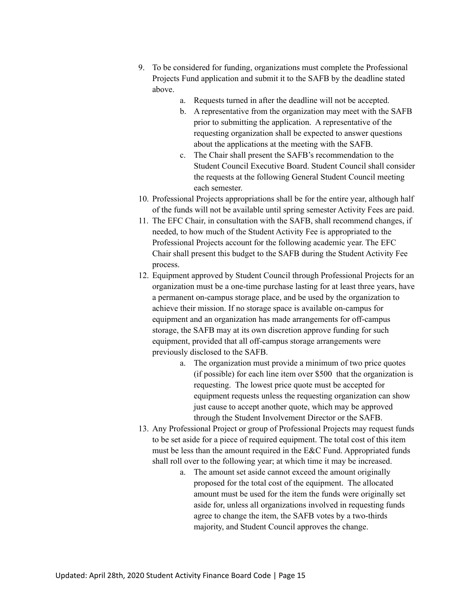- 9. To be considered for funding, organizations must complete the Professional Projects Fund application and submit it to the SAFB by the deadline stated above.
	- a. Requests turned in after the deadline will not be accepted.
	- b. A representative from the organization may meet with the SAFB prior to submitting the application. A representative of the requesting organization shall be expected to answer questions about the applications at the meeting with the SAFB.
	- c. The Chair shall present the SAFB's recommendation to the Student Council Executive Board. Student Council shall consider the requests at the following General Student Council meeting each semester.
- 10. Professional Projects appropriations shall be for the entire year, although half of the funds will not be available until spring semester Activity Fees are paid.
- 11. The EFC Chair, in consultation with the SAFB, shall recommend changes, if needed, to how much of the Student Activity Fee is appropriated to the Professional Projects account for the following academic year. The EFC Chair shall present this budget to the SAFB during the Student Activity Fee process.
- 12. Equipment approved by Student Council through Professional Projects for an organization must be a one-time purchase lasting for at least three years, have a permanent on-campus storage place, and be used by the organization to achieve their mission. If no storage space is available on-campus for equipment and an organization has made arrangements for off-campus storage, the SAFB may at its own discretion approve funding for such equipment, provided that all off-campus storage arrangements were previously disclosed to the SAFB.
	- a. The organization must provide a minimum of two price quotes (if possible) for each line item over \$500 that the organization is requesting. The lowest price quote must be accepted for equipment requests unless the requesting organization can show just cause to accept another quote, which may be approved through the Student Involvement Director or the SAFB.
- 13. Any Professional Project or group of Professional Projects may request funds to be set aside for a piece of required equipment. The total cost of this item must be less than the amount required in the E&C Fund. Appropriated funds shall roll over to the following year; at which time it may be increased.
	- a. The amount set aside cannot exceed the amount originally proposed for the total cost of the equipment. The allocated amount must be used for the item the funds were originally set aside for, unless all organizations involved in requesting funds agree to change the item, the SAFB votes by a two-thirds majority, and Student Council approves the change.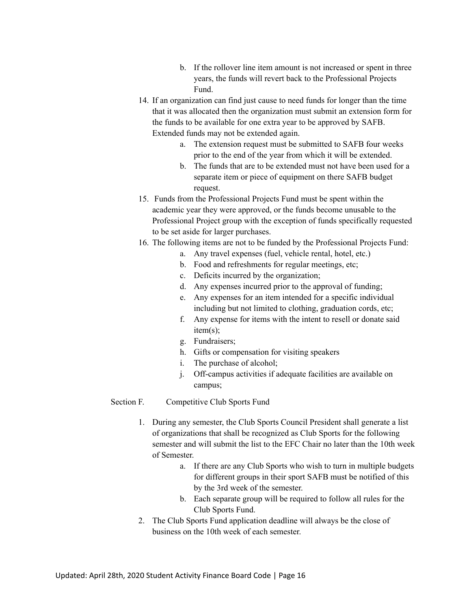- b. If the rollover line item amount is not increased or spent in three years, the funds will revert back to the Professional Projects Fund.
- 14. If an organization can find just cause to need funds for longer than the time that it was allocated then the organization must submit an extension form for the funds to be available for one extra year to be approved by SAFB. Extended funds may not be extended again.
	- a. The extension request must be submitted to SAFB four weeks prior to the end of the year from which it will be extended.
	- b. The funds that are to be extended must not have been used for a separate item or piece of equipment on there SAFB budget request.
- 15. Funds from the Professional Projects Fund must be spent within the academic year they were approved, or the funds become unusable to the Professional Project group with the exception of funds specifically requested to be set aside for larger purchases.
- 16. The following items are not to be funded by the Professional Projects Fund:
	- a. Any travel expenses (fuel, vehicle rental, hotel, etc.)
	- b. Food and refreshments for regular meetings, etc;
	- c. Deficits incurred by the organization;
	- d. Any expenses incurred prior to the approval of funding;
	- e. Any expenses for an item intended for a specific individual including but not limited to clothing, graduation cords, etc;
	- f. Any expense for items with the intent to resell or donate said item(s);
	- g. Fundraisers;
	- h. Gifts or compensation for visiting speakers
	- i. The purchase of alcohol;
	- j. Off-campus activities if adequate facilities are available on campus;

## Section F. Competitive Club Sports Fund

- 1. During any semester, the Club Sports Council President shall generate a list of organizations that shall be recognized as Club Sports for the following semester and will submit the list to the EFC Chair no later than the 10th week of Semester.
	- a. If there are any Club Sports who wish to turn in multiple budgets for different groups in their sport SAFB must be notified of this by the 3rd week of the semester.
	- b. Each separate group will be required to follow all rules for the Club Sports Fund.
- 2. The Club Sports Fund application deadline will always be the close of business on the 10th week of each semester.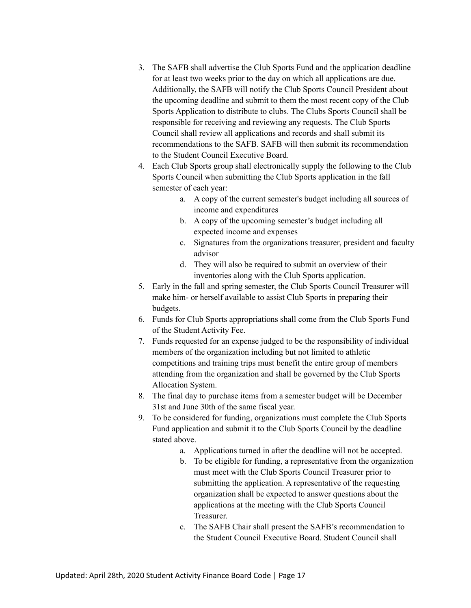- 3. The SAFB shall advertise the Club Sports Fund and the application deadline for at least two weeks prior to the day on which all applications are due. Additionally, the SAFB will notify the Club Sports Council President about the upcoming deadline and submit to them the most recent copy of the Club Sports Application to distribute to clubs. The Clubs Sports Council shall be responsible for receiving and reviewing any requests. The Club Sports Council shall review all applications and records and shall submit its recommendations to the SAFB. SAFB will then submit its recommendation to the Student Council Executive Board.
- 4. Each Club Sports group shall electronically supply the following to the Club Sports Council when submitting the Club Sports application in the fall semester of each year:
	- a. A copy of the current semester's budget including all sources of income and expenditures
	- b. A copy of the upcoming semester's budget including all expected income and expenses
	- c. Signatures from the organizations treasurer, president and faculty advisor
	- d. They will also be required to submit an overview of their inventories along with the Club Sports application.
- 5. Early in the fall and spring semester, the Club Sports Council Treasurer will make him- or herself available to assist Club Sports in preparing their budgets.
- 6. Funds for Club Sports appropriations shall come from the Club Sports Fund of the Student Activity Fee.
- 7. Funds requested for an expense judged to be the responsibility of individual members of the organization including but not limited to athletic competitions and training trips must benefit the entire group of members attending from the organization and shall be governed by the Club Sports Allocation System.
- 8. The final day to purchase items from a semester budget will be December 31st and June 30th of the same fiscal year.
- 9. To be considered for funding, organizations must complete the Club Sports Fund application and submit it to the Club Sports Council by the deadline stated above.
	- a. Applications turned in after the deadline will not be accepted.
	- b. To be eligible for funding, a representative from the organization must meet with the Club Sports Council Treasurer prior to submitting the application. A representative of the requesting organization shall be expected to answer questions about the applications at the meeting with the Club Sports Council Treasurer.
	- c. The SAFB Chair shall present the SAFB's recommendation to the Student Council Executive Board. Student Council shall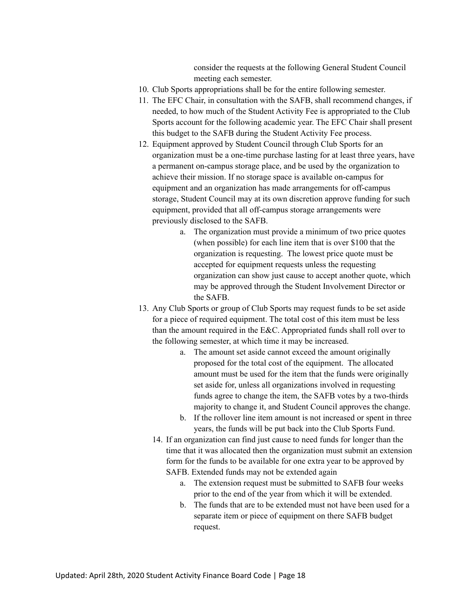consider the requests at the following General Student Council meeting each semester.

- 10. Club Sports appropriations shall be for the entire following semester.
- 11. The EFC Chair, in consultation with the SAFB, shall recommend changes, if needed, to how much of the Student Activity Fee is appropriated to the Club Sports account for the following academic year. The EFC Chair shall present this budget to the SAFB during the Student Activity Fee process.
- 12. Equipment approved by Student Council through Club Sports for an organization must be a one-time purchase lasting for at least three years, have a permanent on-campus storage place, and be used by the organization to achieve their mission. If no storage space is available on-campus for equipment and an organization has made arrangements for off-campus storage, Student Council may at its own discretion approve funding for such equipment, provided that all off-campus storage arrangements were previously disclosed to the SAFB.
	- a. The organization must provide a minimum of two price quotes (when possible) for each line item that is over \$100 that the organization is requesting. The lowest price quote must be accepted for equipment requests unless the requesting organization can show just cause to accept another quote, which may be approved through the Student Involvement Director or the SAFB.
- 13. Any Club Sports or group of Club Sports may request funds to be set aside for a piece of required equipment. The total cost of this item must be less than the amount required in the E&C. Appropriated funds shall roll over to the following semester, at which time it may be increased.
	- a. The amount set aside cannot exceed the amount originally proposed for the total cost of the equipment. The allocated amount must be used for the item that the funds were originally set aside for, unless all organizations involved in requesting funds agree to change the item, the SAFB votes by a two-thirds majority to change it, and Student Council approves the change.
	- b. If the rollover line item amount is not increased or spent in three years, the funds will be put back into the Club Sports Fund.
	- 14. If an organization can find just cause to need funds for longer than the time that it was allocated then the organization must submit an extension form for the funds to be available for one extra year to be approved by SAFB. Extended funds may not be extended again
		- a. The extension request must be submitted to SAFB four weeks prior to the end of the year from which it will be extended.
		- b. The funds that are to be extended must not have been used for a separate item or piece of equipment on there SAFB budget request.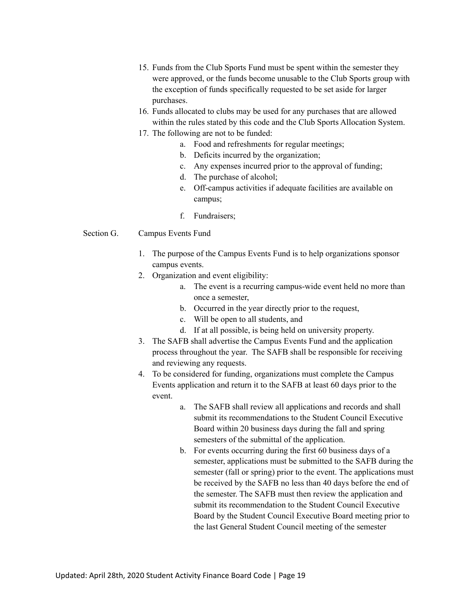- 15. Funds from the Club Sports Fund must be spent within the semester they were approved, or the funds become unusable to the Club Sports group with the exception of funds specifically requested to be set aside for larger purchases.
- 16. Funds allocated to clubs may be used for any purchases that are allowed within the rules stated by this code and the Club Sports Allocation System.
- 17. The following are not to be funded:
	- a. Food and refreshments for regular meetings;
	- b. Deficits incurred by the organization;
	- c. Any expenses incurred prior to the approval of funding;
	- d. The purchase of alcohol;
	- e. Off-campus activities if adequate facilities are available on campus;
	- f. Fundraisers;

## Section G. Campus Events Fund

- 1. The purpose of the Campus Events Fund is to help organizations sponsor campus events.
- 2. Organization and event eligibility:
	- a. The event is a recurring campus-wide event held no more than once a semester,
	- b. Occurred in the year directly prior to the request,
	- c. Will be open to all students, and
	- d. If at all possible, is being held on university property.
- 3. The SAFB shall advertise the Campus Events Fund and the application process throughout the year. The SAFB shall be responsible for receiving and reviewing any requests.
- 4. To be considered for funding, organizations must complete the Campus Events application and return it to the SAFB at least 60 days prior to the event.
	- a. The SAFB shall review all applications and records and shall submit its recommendations to the Student Council Executive Board within 20 business days during the fall and spring semesters of the submittal of the application.
	- b. For events occurring during the first 60 business days of a semester, applications must be submitted to the SAFB during the semester (fall or spring) prior to the event. The applications must be received by the SAFB no less than 40 days before the end of the semester. The SAFB must then review the application and submit its recommendation to the Student Council Executive Board by the Student Council Executive Board meeting prior to the last General Student Council meeting of the semester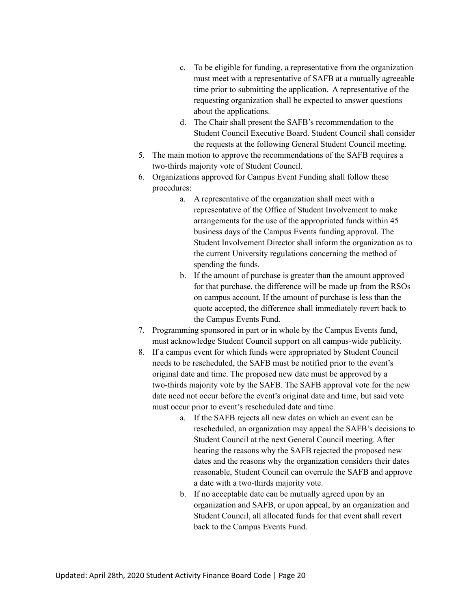- c. To be eligible for funding, a representative from the organization must meet with a representative of SAFB at a mutually agreeable time prior to submitting the application. A representative of the requesting organization shall be expected to answer questions about the applications.
- d. The Chair shall present the SAFB's recommendation to the Student Council Executive Board. Student Council shall consider the requests at the following General Student Council meeting.
- 5. The main motion to approve the recommendations of the SAFB requires a two-thirds majority vote of Student Council.
- 6. Organizations approved for Campus Event Funding shall follow these procedures:
	- a. A representative of the organization shall meet with a representative of the Office of Student Involvement to make arrangements for the use of the appropriated funds within 45 business days of the Campus Events funding approval. The Student Involvement Director shall inform the organization as to the current University regulations concerning the method of spending the funds.
	- b. If the amount of purchase is greater than the amount approved for that purchase, the difference will be made up from the RSOs on campus account. If the amount of purchase is less than the quote accepted, the difference shall immediately revert back to the Campus Events Fund.
- 7. Programming sponsored in part or in whole by the Campus Events fund, must acknowledge Student Council support on all campus-wide publicity.
- 8. If a campus event for which funds were appropriated by Student Council needs to be rescheduled, the SAFB must be notified prior to the event's original date and time. The proposed new date must be approved by a two-thirds majority vote by the SAFB. The SAFB approval vote for the new date need not occur before the event's original date and time, but said vote must occur prior to event's rescheduled date and time.
	- a. If the SAFB rejects all new dates on which an event can be rescheduled, an organization may appeal the SAFB's decisions to Student Council at the next General Council meeting. After hearing the reasons why the SAFB rejected the proposed new dates and the reasons why the organization considers their dates reasonable, Student Council can overrule the SAFB and approve a date with a two-thirds majority vote.
	- b. If no acceptable date can be mutually agreed upon by an organization and SAFB, or upon appeal, by an organization and Student Council, all allocated funds for that event shall revert back to the Campus Events Fund.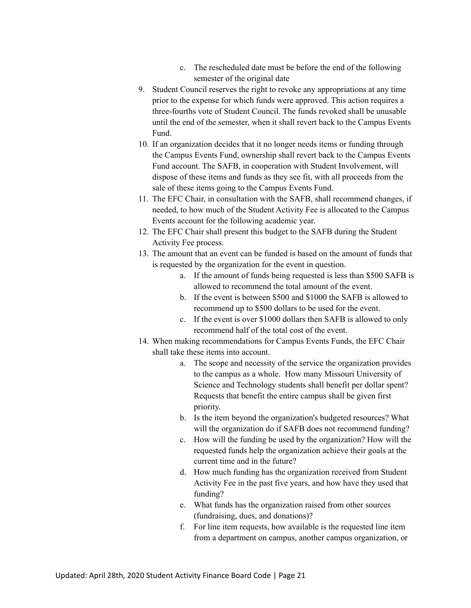- c. The rescheduled date must be before the end of the following semester of the original date
- 9. Student Council reserves the right to revoke any appropriations at any time prior to the expense for which funds were approved. This action requires a three-fourths vote of Student Council. The funds revoked shall be unusable until the end of the semester, when it shall revert back to the Campus Events Fund.
- 10. If an organization decides that it no longer needs items or funding through the Campus Events Fund, ownership shall revert back to the Campus Events Fund account. The SAFB, in cooperation with Student Involvement, will dispose of these items and funds as they see fit, with all proceeds from the sale of these items going to the Campus Events Fund.
- 11. The EFC Chair, in consultation with the SAFB, shall recommend changes, if needed, to how much of the Student Activity Fee is allocated to the Campus Events account for the following academic year.
- 12. The EFC Chair shall present this budget to the SAFB during the Student Activity Fee process.
- 13. The amount that an event can be funded is based on the amount of funds that is requested by the organization for the event in question.
	- a. If the amount of funds being requested is less than \$500 SAFB is allowed to recommend the total amount of the event.
	- b. If the event is between \$500 and \$1000 the SAFB is allowed to recommend up to \$500 dollars to be used for the event.
	- c. If the event is over \$1000 dollars then SAFB is allowed to only recommend half of the total cost of the event.
- 14. When making recommendations for Campus Events Funds, the EFC Chair shall take these items into account.
	- a. The scope and necessity of the service the organization provides to the campus as a whole. How many Missouri University of Science and Technology students shall benefit per dollar spent? Requests that benefit the entire campus shall be given first priority.
	- b. Is the item beyond the organization's budgeted resources? What will the organization do if SAFB does not recommend funding?
	- c. How will the funding be used by the organization? How will the requested funds help the organization achieve their goals at the current time and in the future?
	- d. How much funding has the organization received from Student Activity Fee in the past five years, and how have they used that funding?
	- e. What funds has the organization raised from other sources (fundraising, dues, and donations)?
	- f. For line item requests, how available is the requested line item from a department on campus, another campus organization, or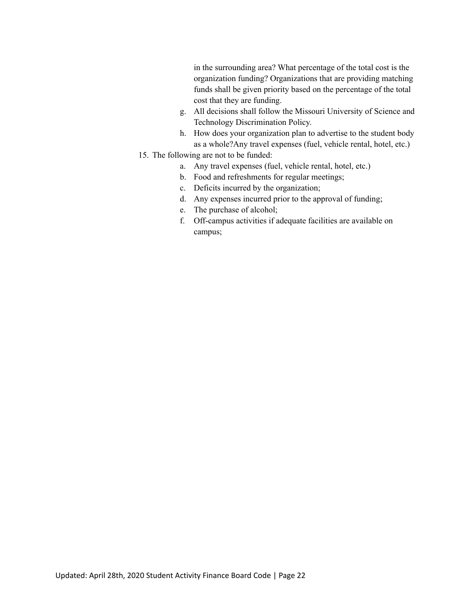in the surrounding area? What percentage of the total cost is the organization funding? Organizations that are providing matching funds shall be given priority based on the percentage of the total cost that they are funding.

- g. All decisions shall follow the Missouri University of Science and Technology Discrimination Policy.
- h. How does your organization plan to advertise to the student body as a whole?Any travel expenses (fuel, vehicle rental, hotel, etc.)
- 15. The following are not to be funded:
	- a. Any travel expenses (fuel, vehicle rental, hotel, etc.)
	- b. Food and refreshments for regular meetings;
	- c. Deficits incurred by the organization;
	- d. Any expenses incurred prior to the approval of funding;
	- e. The purchase of alcohol;
	- f. Off-campus activities if adequate facilities are available on campus;